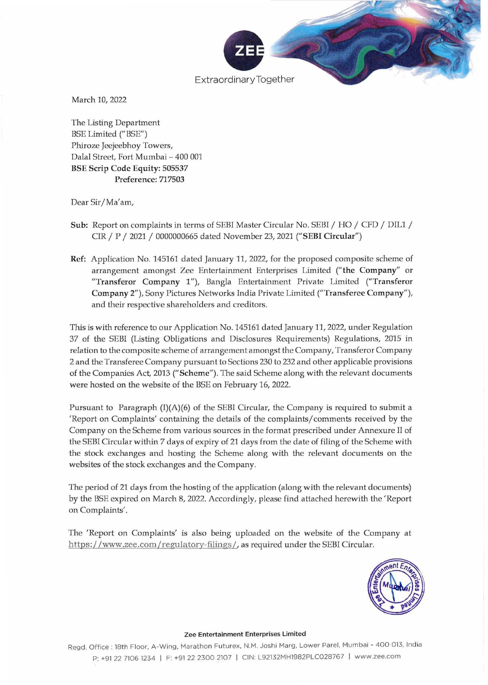

March 10, 2022

The Listing Department BSE Limited ("BSE") Phiroze Jeejeebhoy Towers, Dalal Street, Fort Mumbai - 400 001 BSE Scrip Code Equity: 505537 Preference: 717503

Dear Sir/ Ma'am,

- Sub: Report on complaints in terms of SEBI Master Circular No. SEBI / HO / CFD / DIL1 / CIR / P / 2021 / 0000000665 dated November 23, 2021 ("SEBI Circular")
- Ref: Application No. 145161 dated January 11, 2022, for the proposed composite scheme of arrangement amongst Zee Entertainment Enterprises Limited (" the Company" or "Transferor Company 1"), Bangia Entertainment Private Limited ("Transferor Company 2"), Sony Pictures Networks India Private Limited ("Transferee Company"), and their respective shareholders and creditors.

This is with reference to our Application No. 145161 dated January 11, 2022, under Regulation 37 of the SEBI (Listing Obligations and Disclosures Requirements) Regulations, 2015 in **relation to the composite scheme of arrangement amongst the Company, Transferor Company**  2 and the Transferee Company pursuant to Sections 230 to 232 and other applicable provisions of the Companies Act, 2013 ("Scheme"). The said Scheme along with the relevant documents were hosted on the website of the BSE on February 16, 2022.

Pursuant to Paragraph  $(I)(A)(6)$  of the SEBI Circular, the Company is required to submit a 'Report on Complaints' containing the details of the complaints/comments received by the Company on the Scheme from various sources in the format prescribed under Annexure IT of the SEBI Circular within 7 days of expiry of 21 days from the date of filing of the Scheme with the stock exchanges and hosting the Scheme along with the relevant documents on the websites of the stock exchanges and the Company.

The period of 21 days from the hosting of the application (along with the relevant documents) by the BSE expired on March 8, 2022. Accordingly, please find attached herewith the 'Report on Complaints'.

The 'Report on Complaints' is also being uploaded on the website of the Company at https:/ /www.zee.com/reguiatory-filings/. as required under the SEBI Circular.



#### **Zee Entertainment Enterprises Limited**

Regd. Office: 18th Floor, A-Wing, Marathon Futurex, N.M. Joshi Marg, Lower Parel, Mumbai - 400 013, India P: +91 22 7106 1234 I F: +91 222300 2107 I CIN: L92132M H1982PLC028767 I www.zee.com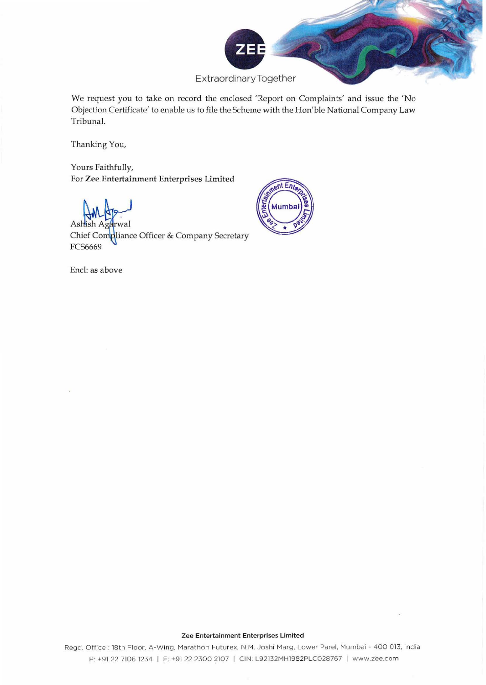

We request you to take on record the enclosed 'Report on Complaints' and issue the 'No Objection Certificate' to enable us to file the Scheme with the Hon'ble National Company Law Tribunal.

 $nt En$ 

Mumba

Thanking You,

Yours Faithfully, For Zee Entertainment Enterprises Limited

wal

As Chief Compliance Officer & Company Secretary **FCS6669** 



#### **Zee Entertainment Enterprises Limited**

**Regd. Office ; 18th Floor, A-Wing, Mara thon Futurex. N.M. Joshi Marg, Lower Parel, Mumbai - 400 013, India**  P: +91 22 71061234 I F: +91 2223002107 I CIN: L92132MH1982PLC028767 I www.zee.com